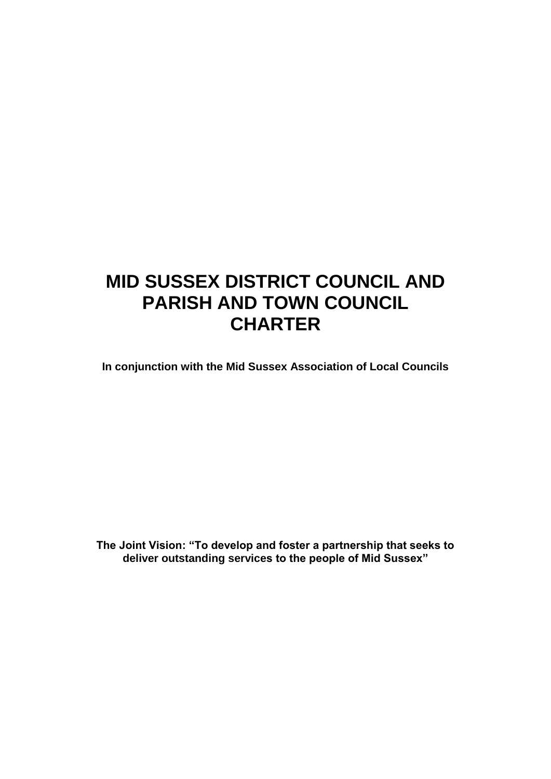# **MID SUSSEX DISTRICT COUNCIL AND PARISH AND TOWN COUNCIL CHARTER**

**In conjunction with the Mid Sussex Association of Local Councils**

**The Joint Vision: "To develop and foster a partnership that seeks to deliver outstanding services to the people of Mid Sussex"**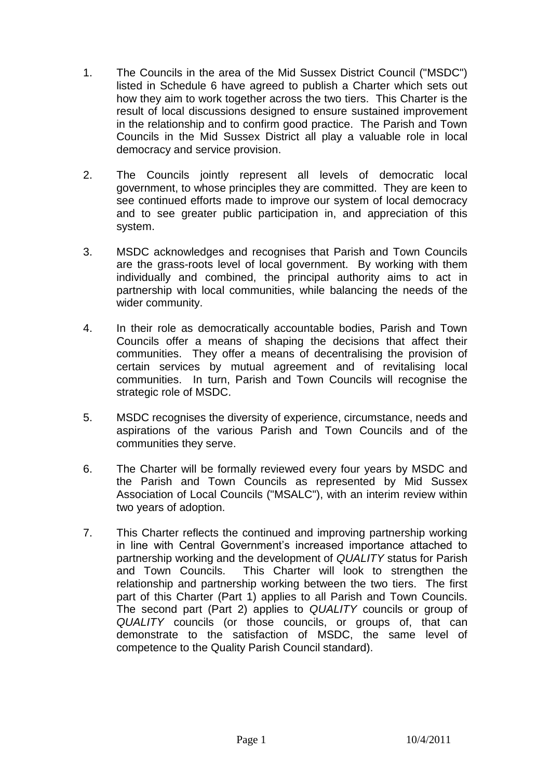- 1. The Councils in the area of the Mid Sussex District Council ("MSDC") listed in Schedule 6 have agreed to publish a Charter which sets out how they aim to work together across the two tiers. This Charter is the result of local discussions designed to ensure sustained improvement in the relationship and to confirm good practice. The Parish and Town Councils in the Mid Sussex District all play a valuable role in local democracy and service provision.
- 2. The Councils jointly represent all levels of democratic local government, to whose principles they are committed. They are keen to see continued efforts made to improve our system of local democracy and to see greater public participation in, and appreciation of this system.
- 3. MSDC acknowledges and recognises that Parish and Town Councils are the grass-roots level of local government. By working with them individually and combined, the principal authority aims to act in partnership with local communities, while balancing the needs of the wider community.
- 4. In their role as democratically accountable bodies, Parish and Town Councils offer a means of shaping the decisions that affect their communities. They offer a means of decentralising the provision of certain services by mutual agreement and of revitalising local communities. In turn, Parish and Town Councils will recognise the strategic role of MSDC.
- 5. MSDC recognises the diversity of experience, circumstance, needs and aspirations of the various Parish and Town Councils and of the communities they serve.
- 6. The Charter will be formally reviewed every four years by MSDC and the Parish and Town Councils as represented by Mid Sussex Association of Local Councils ("MSALC"), with an interim review within two years of adoption.
- 7. This Charter reflects the continued and improving partnership working in line with Central Government's increased importance attached to partnership working and the development of *QUALITY* status for Parish and Town Councils. This Charter will look to strengthen the relationship and partnership working between the two tiers. The first part of this Charter (Part 1) applies to all Parish and Town Councils. The second part (Part 2) applies to *QUALITY* councils or group of *QUALITY* councils (or those councils, or groups of, that can demonstrate to the satisfaction of MSDC, the same level of competence to the Quality Parish Council standard).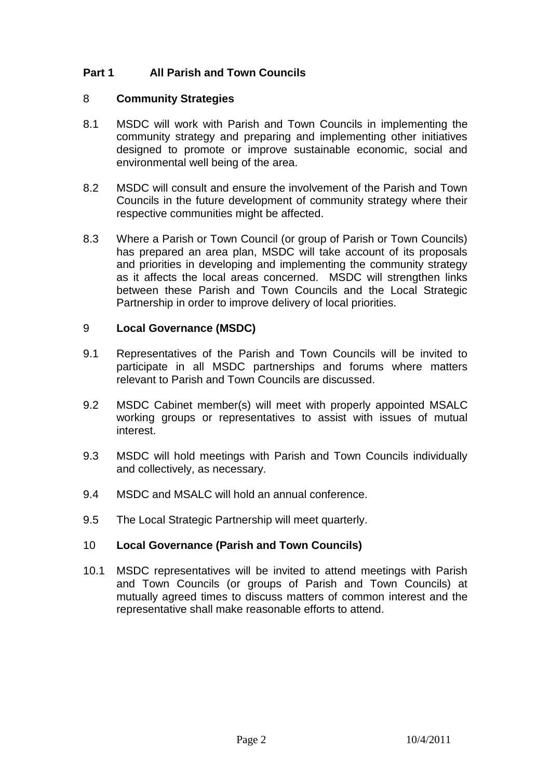# **Part 1 All Parish and Town Councils**

#### 8 **Community Strategies**

- 8.1 MSDC will work with Parish and Town Councils in implementing the community strategy and preparing and implementing other initiatives designed to promote or improve sustainable economic, social and environmental well being of the area.
- 8.2 MSDC will consult and ensure the involvement of the Parish and Town Councils in the future development of community strategy where their respective communities might be affected.
- 8.3 Where a Parish or Town Council (or group of Parish or Town Councils) has prepared an area plan, MSDC will take account of its proposals and priorities in developing and implementing the community strategy as it affects the local areas concerned. MSDC will strengthen links between these Parish and Town Councils and the Local Strategic Partnership in order to improve delivery of local priorities.

## 9 **Local Governance (MSDC)**

- 9.1 Representatives of the Parish and Town Councils will be invited to participate in all MSDC partnerships and forums where matters relevant to Parish and Town Councils are discussed.
- 9.2 MSDC Cabinet member(s) will meet with properly appointed MSALC working groups or representatives to assist with issues of mutual interest.
- 9.3 MSDC will hold meetings with Parish and Town Councils individually and collectively, as necessary.
- 9.4 MSDC and MSALC will hold an annual conference.
- 9.5 The Local Strategic Partnership will meet quarterly.

# 10 **Local Governance (Parish and Town Councils)**

10.1 MSDC representatives will be invited to attend meetings with Parish and Town Councils (or groups of Parish and Town Councils) at mutually agreed times to discuss matters of common interest and the representative shall make reasonable efforts to attend.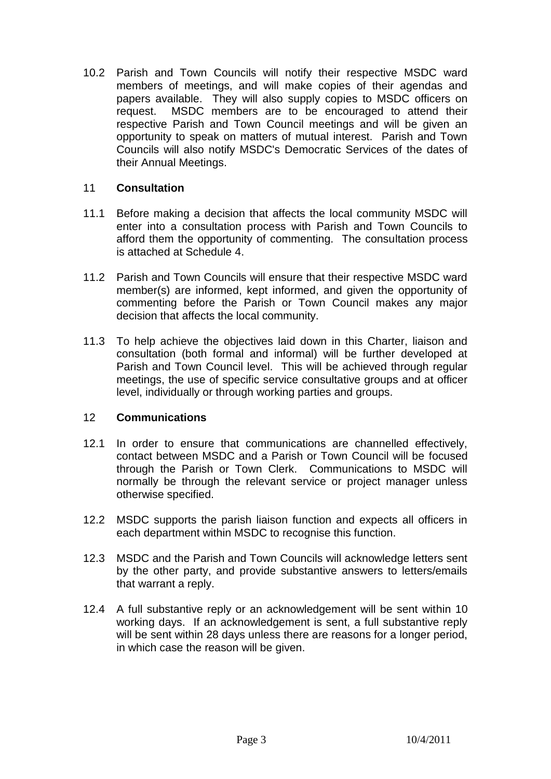10.2 Parish and Town Councils will notify their respective MSDC ward members of meetings, and will make copies of their agendas and papers available. They will also supply copies to MSDC officers on request. MSDC members are to be encouraged to attend their respective Parish and Town Council meetings and will be given an opportunity to speak on matters of mutual interest. Parish and Town Councils will also notify MSDC's Democratic Services of the dates of their Annual Meetings.

## 11 **Consultation**

- 11.1 Before making a decision that affects the local community MSDC will enter into a consultation process with Parish and Town Councils to afford them the opportunity of commenting. The consultation process is attached at Schedule 4.
- 11.2 Parish and Town Councils will ensure that their respective MSDC ward member(s) are informed, kept informed, and given the opportunity of commenting before the Parish or Town Council makes any major decision that affects the local community.
- 11.3 To help achieve the objectives laid down in this Charter, liaison and consultation (both formal and informal) will be further developed at Parish and Town Council level. This will be achieved through regular meetings, the use of specific service consultative groups and at officer level, individually or through working parties and groups.

#### 12 **Communications**

- 12.1 In order to ensure that communications are channelled effectively, contact between MSDC and a Parish or Town Council will be focused through the Parish or Town Clerk. Communications to MSDC will normally be through the relevant service or project manager unless otherwise specified.
- 12.2 MSDC supports the parish liaison function and expects all officers in each department within MSDC to recognise this function.
- 12.3 MSDC and the Parish and Town Councils will acknowledge letters sent by the other party, and provide substantive answers to letters/emails that warrant a reply.
- 12.4 A full substantive reply or an acknowledgement will be sent within 10 working days. If an acknowledgement is sent, a full substantive reply will be sent within 28 days unless there are reasons for a longer period, in which case the reason will be given.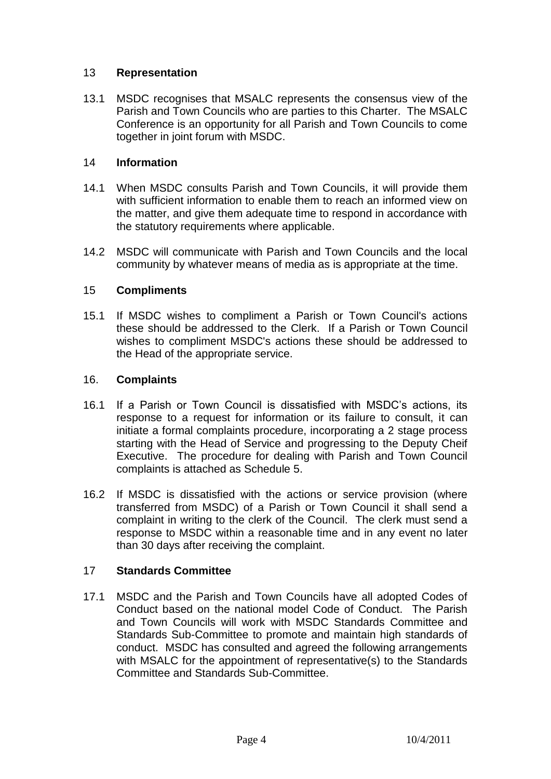## 13 **Representation**

13.1 MSDC recognises that MSALC represents the consensus view of the Parish and Town Councils who are parties to this Charter. The MSALC Conference is an opportunity for all Parish and Town Councils to come together in joint forum with MSDC.

## 14 **Information**

- 14.1 When MSDC consults Parish and Town Councils, it will provide them with sufficient information to enable them to reach an informed view on the matter, and give them adequate time to respond in accordance with the statutory requirements where applicable.
- 14.2 MSDC will communicate with Parish and Town Councils and the local community by whatever means of media as is appropriate at the time.

## 15 **Compliments**

15.1 If MSDC wishes to compliment a Parish or Town Council's actions these should be addressed to the Clerk. If a Parish or Town Council wishes to compliment MSDC's actions these should be addressed to the Head of the appropriate service.

#### 16. **Complaints**

- 16.1 If a Parish or Town Council is dissatisfied with MSDC's actions, its response to a request for information or its failure to consult, it can initiate a formal complaints procedure, incorporating a 2 stage process starting with the Head of Service and progressing to the Deputy Cheif Executive. The procedure for dealing with Parish and Town Council complaints is attached as Schedule 5.
- 16.2 If MSDC is dissatisfied with the actions or service provision (where transferred from MSDC) of a Parish or Town Council it shall send a complaint in writing to the clerk of the Council. The clerk must send a response to MSDC within a reasonable time and in any event no later than 30 days after receiving the complaint.

#### 17 **Standards Committee**

17.1 MSDC and the Parish and Town Councils have all adopted Codes of Conduct based on the national model Code of Conduct. The Parish and Town Councils will work with MSDC Standards Committee and Standards Sub-Committee to promote and maintain high standards of conduct. MSDC has consulted and agreed the following arrangements with MSALC for the appointment of representative(s) to the Standards Committee and Standards Sub-Committee.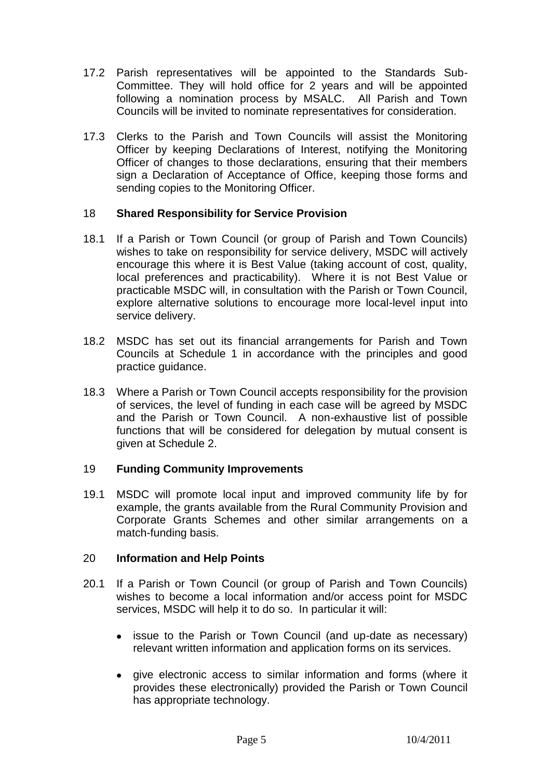- 17.2 Parish representatives will be appointed to the Standards Sub-Committee. They will hold office for 2 years and will be appointed following a nomination process by MSALC. All Parish and Town Councils will be invited to nominate representatives for consideration.
- 17.3 Clerks to the Parish and Town Councils will assist the Monitoring Officer by keeping Declarations of Interest, notifying the Monitoring Officer of changes to those declarations, ensuring that their members sign a Declaration of Acceptance of Office, keeping those forms and sending copies to the Monitoring Officer.

## 18 **Shared Responsibility for Service Provision**

- 18.1 If a Parish or Town Council (or group of Parish and Town Councils) wishes to take on responsibility for service delivery, MSDC will actively encourage this where it is Best Value (taking account of cost, quality, local preferences and practicability). Where it is not Best Value or practicable MSDC will, in consultation with the Parish or Town Council, explore alternative solutions to encourage more local-level input into service delivery.
- 18.2 MSDC has set out its financial arrangements for Parish and Town Councils at Schedule 1 in accordance with the principles and good practice guidance.
- 18.3 Where a Parish or Town Council accepts responsibility for the provision of services, the level of funding in each case will be agreed by MSDC and the Parish or Town Council. A non-exhaustive list of possible functions that will be considered for delegation by mutual consent is given at Schedule 2.

#### 19 **Funding Community Improvements**

19.1 MSDC will promote local input and improved community life by for example, the grants available from the Rural Community Provision and Corporate Grants Schemes and other similar arrangements on a match-funding basis.

#### 20 **Information and Help Points**

- 20.1 If a Parish or Town Council (or group of Parish and Town Councils) wishes to become a local information and/or access point for MSDC services, MSDC will help it to do so. In particular it will:
	- issue to the Parish or Town Council (and up-date as necessary) relevant written information and application forms on its services.
	- give electronic access to similar information and forms (where it provides these electronically) provided the Parish or Town Council has appropriate technology.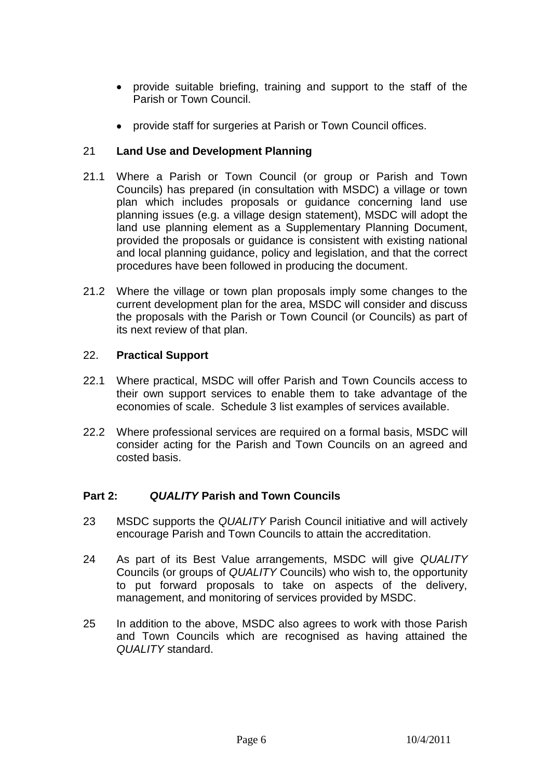- provide suitable briefing, training and support to the staff of the Parish or Town Council.
- provide staff for surgeries at Parish or Town Council offices.

# 21 **Land Use and Development Planning**

- 21.1 Where a Parish or Town Council (or group or Parish and Town Councils) has prepared (in consultation with MSDC) a village or town plan which includes proposals or guidance concerning land use planning issues (e.g. a village design statement), MSDC will adopt the land use planning element as a Supplementary Planning Document, provided the proposals or guidance is consistent with existing national and local planning guidance, policy and legislation, and that the correct procedures have been followed in producing the document.
- 21.2 Where the village or town plan proposals imply some changes to the current development plan for the area, MSDC will consider and discuss the proposals with the Parish or Town Council (or Councils) as part of its next review of that plan.

## 22. **Practical Support**

- 22.1 Where practical, MSDC will offer Parish and Town Councils access to their own support services to enable them to take advantage of the economies of scale. Schedule 3 list examples of services available.
- 22.2 Where professional services are required on a formal basis, MSDC will consider acting for the Parish and Town Councils on an agreed and costed basis.

# **Part 2:** *QUALITY* **Parish and Town Councils**

- 23 MSDC supports the *QUALITY* Parish Council initiative and will actively encourage Parish and Town Councils to attain the accreditation.
- 24 As part of its Best Value arrangements, MSDC will give *QUALITY* Councils (or groups of *QUALITY* Councils) who wish to, the opportunity to put forward proposals to take on aspects of the delivery, management, and monitoring of services provided by MSDC.
- 25 In addition to the above, MSDC also agrees to work with those Parish and Town Councils which are recognised as having attained the *QUALITY* standard.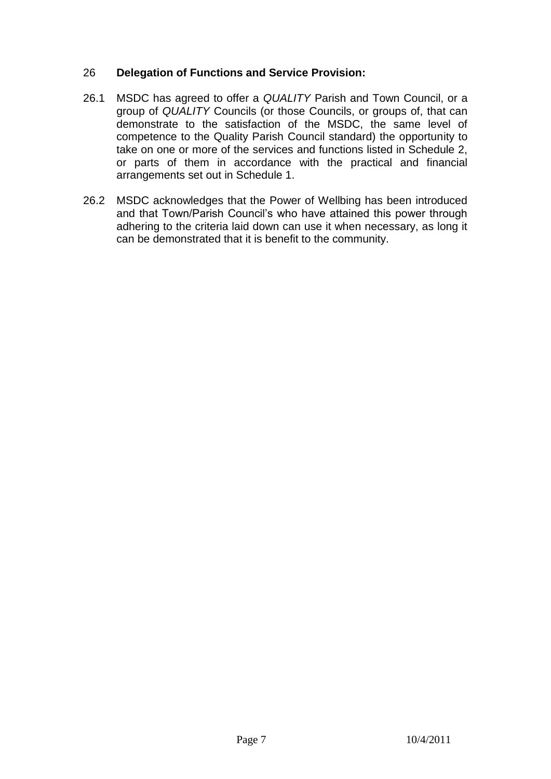## 26 **Delegation of Functions and Service Provision:**

- 26.1 MSDC has agreed to offer a *QUALITY* Parish and Town Council, or a group of *QUALITY* Councils (or those Councils, or groups of, that can demonstrate to the satisfaction of the MSDC, the same level of competence to the Quality Parish Council standard) the opportunity to take on one or more of the services and functions listed in Schedule 2, or parts of them in accordance with the practical and financial arrangements set out in Schedule 1.
- 26.2 MSDC acknowledges that the Power of Wellbing has been introduced and that Town/Parish Council's who have attained this power through adhering to the criteria laid down can use it when necessary, as long it can be demonstrated that it is benefit to the community.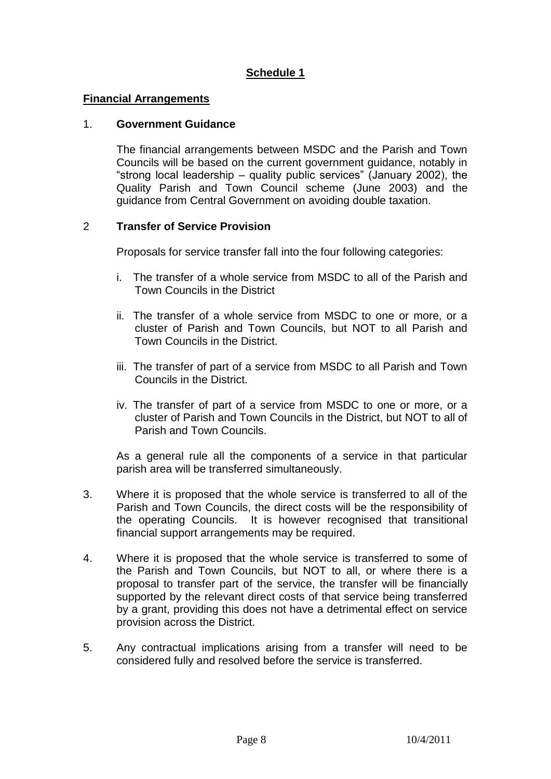#### **Financial Arrangements**

#### 1. **Government Guidance**

The financial arrangements between MSDC and the Parish and Town Councils will be based on the current government guidance, notably in "strong local leadership – quality public services" (January 2002), the Quality Parish and Town Council scheme (June 2003) and the guidance from Central Government on avoiding double taxation.

#### 2 **Transfer of Service Provision**

Proposals for service transfer fall into the four following categories:

- i. The transfer of a whole service from MSDC to all of the Parish and Town Councils in the District
- ii. The transfer of a whole service from MSDC to one or more, or a cluster of Parish and Town Councils, but NOT to all Parish and Town Councils in the District.
- iii. The transfer of part of a service from MSDC to all Parish and Town Councils in the District.
- iv. The transfer of part of a service from MSDC to one or more, or a cluster of Parish and Town Councils in the District, but NOT to all of Parish and Town Councils.

As a general rule all the components of a service in that particular parish area will be transferred simultaneously.

- 3. Where it is proposed that the whole service is transferred to all of the Parish and Town Councils, the direct costs will be the responsibility of the operating Councils. It is however recognised that transitional financial support arrangements may be required.
- 4. Where it is proposed that the whole service is transferred to some of the Parish and Town Councils, but NOT to all, or where there is a proposal to transfer part of the service, the transfer will be financially supported by the relevant direct costs of that service being transferred by a grant, providing this does not have a detrimental effect on service provision across the District.
- 5. Any contractual implications arising from a transfer will need to be considered fully and resolved before the service is transferred.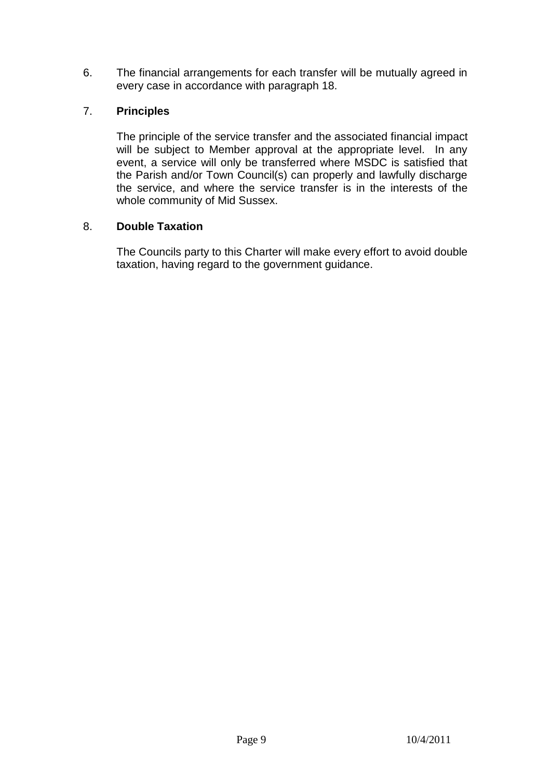6. The financial arrangements for each transfer will be mutually agreed in every case in accordance with paragraph 18.

# 7. **Principles**

The principle of the service transfer and the associated financial impact will be subject to Member approval at the appropriate level. In any event, a service will only be transferred where MSDC is satisfied that the Parish and/or Town Council(s) can properly and lawfully discharge the service, and where the service transfer is in the interests of the whole community of Mid Sussex.

# 8. **Double Taxation**

The Councils party to this Charter will make every effort to avoid double taxation, having regard to the government guidance.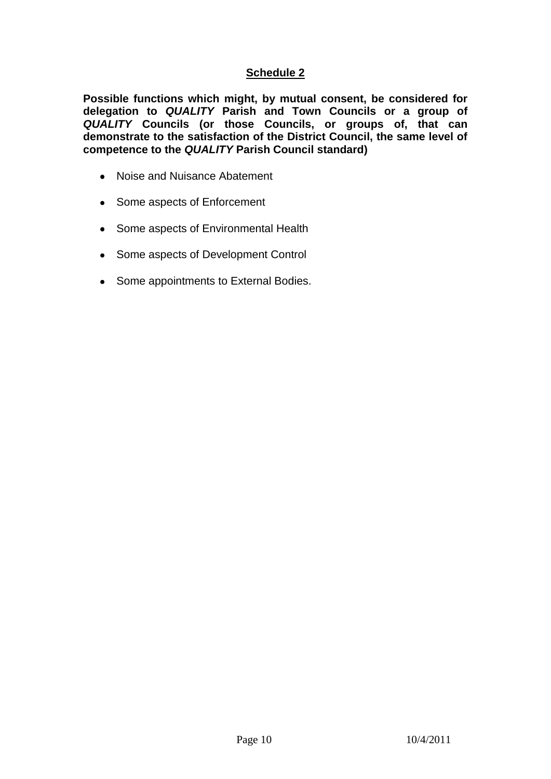**Possible functions which might, by mutual consent, be considered for delegation to** *QUALITY* **Parish and Town Councils or a group of**  *QUALITY* **Councils (or those Councils, or groups of, that can demonstrate to the satisfaction of the District Council, the same level of competence to the** *QUALITY* **Parish Council standard)**

- Noise and Nuisance Abatement
- Some aspects of Enforcement
- Some aspects of Environmental Health
- Some aspects of Development Control  $\bullet$
- Some appointments to External Bodies.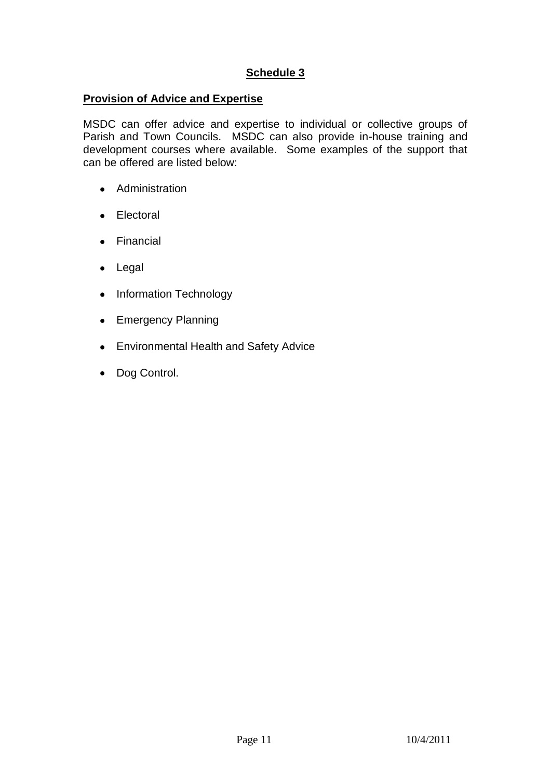#### **Provision of Advice and Expertise**

MSDC can offer advice and expertise to individual or collective groups of Parish and Town Councils. MSDC can also provide in-house training and development courses where available. Some examples of the support that can be offered are listed below:

- Administration
- Electoral
- Financial
- Legal
- Information Technology
- Emergency Planning
- Environmental Health and Safety Advice  $\bullet$
- Dog Control.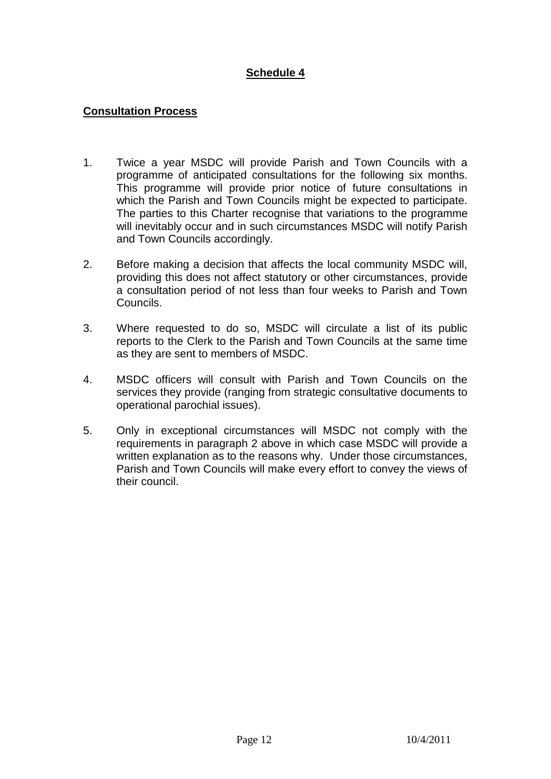## **Consultation Process**

- 1. Twice a year MSDC will provide Parish and Town Councils with a programme of anticipated consultations for the following six months. This programme will provide prior notice of future consultations in which the Parish and Town Councils might be expected to participate. The parties to this Charter recognise that variations to the programme will inevitably occur and in such circumstances MSDC will notify Parish and Town Councils accordingly.
- 2. Before making a decision that affects the local community MSDC will, providing this does not affect statutory or other circumstances, provide a consultation period of not less than four weeks to Parish and Town Councils.
- 3. Where requested to do so, MSDC will circulate a list of its public reports to the Clerk to the Parish and Town Councils at the same time as they are sent to members of MSDC.
- 4. MSDC officers will consult with Parish and Town Councils on the services they provide (ranging from strategic consultative documents to operational parochial issues).
- 5. Only in exceptional circumstances will MSDC not comply with the requirements in paragraph 2 above in which case MSDC will provide a written explanation as to the reasons why. Under those circumstances, Parish and Town Councils will make every effort to convey the views of their council.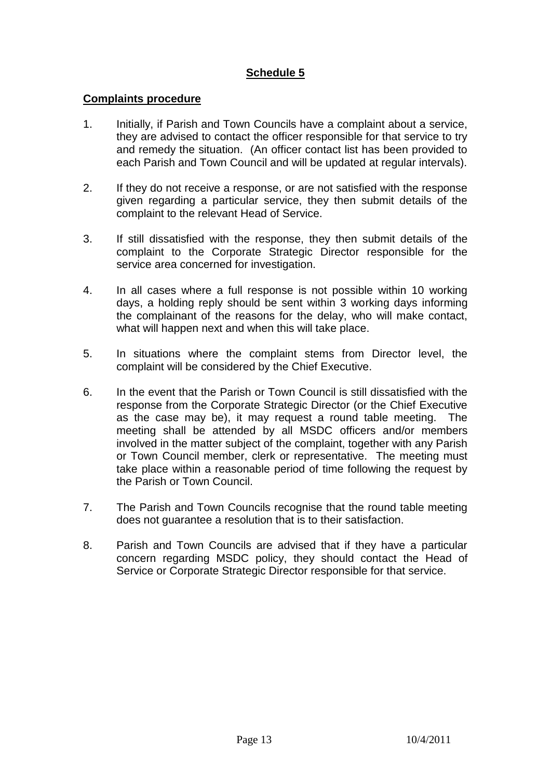#### **Complaints procedure**

- 1. Initially, if Parish and Town Councils have a complaint about a service, they are advised to contact the officer responsible for that service to try and remedy the situation. (An officer contact list has been provided to each Parish and Town Council and will be updated at regular intervals).
- 2. If they do not receive a response, or are not satisfied with the response given regarding a particular service, they then submit details of the complaint to the relevant Head of Service.
- 3. If still dissatisfied with the response, they then submit details of the complaint to the Corporate Strategic Director responsible for the service area concerned for investigation.
- 4. In all cases where a full response is not possible within 10 working days, a holding reply should be sent within 3 working days informing the complainant of the reasons for the delay, who will make contact, what will happen next and when this will take place.
- 5. In situations where the complaint stems from Director level, the complaint will be considered by the Chief Executive.
- 6. In the event that the Parish or Town Council is still dissatisfied with the response from the Corporate Strategic Director (or the Chief Executive as the case may be), it may request a round table meeting. The meeting shall be attended by all MSDC officers and/or members involved in the matter subject of the complaint, together with any Parish or Town Council member, clerk or representative. The meeting must take place within a reasonable period of time following the request by the Parish or Town Council.
- 7. The Parish and Town Councils recognise that the round table meeting does not guarantee a resolution that is to their satisfaction.
- 8. Parish and Town Councils are advised that if they have a particular concern regarding MSDC policy, they should contact the Head of Service or Corporate Strategic Director responsible for that service.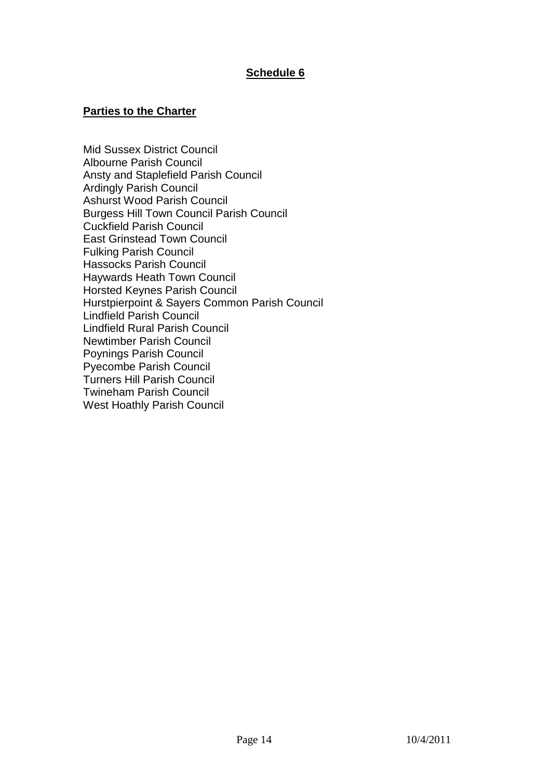## **Parties to the Charter**

Mid Sussex District Council Albourne Parish Council Ansty and Staplefield Parish Council Ardingly Parish Council Ashurst Wood Parish Council Burgess Hill Town Council Parish Council Cuckfield Parish Council East Grinstead Town Council Fulking Parish Council Hassocks Parish Council Haywards Heath Town Council Horsted Keynes Parish Council Hurstpierpoint & Sayers Common Parish Council Lindfield Parish Council Lindfield Rural Parish Council Newtimber Parish Council Poynings Parish Council Pyecombe Parish Council Turners Hill Parish Council Twineham Parish Council West Hoathly Parish Council